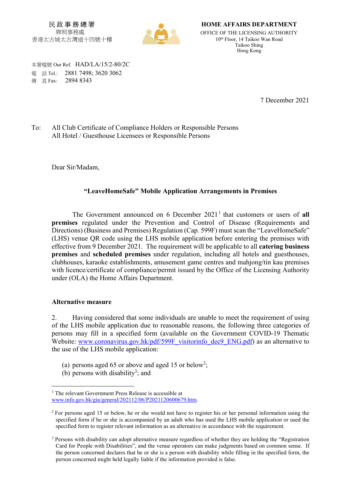民 政 事 務 總 署 牌照事務處 香港太古城太古灣道十四號十樓



HOME AFFAIRS DEPARTMENT OFFICE OF THE LICENSING AUTHORITY 10th Floor, 14 Taikoo Wan Road Taikoo Shing Hong Kong

 本署檔號 Our Ref. HAD/LA/15/2-80/2C 電 話 Tel.: 2881 7498; 3620 3062 **傳 直 Fax: 2894 8343** 

7 December 2021

To: All Club Certificate of Compliance Holders or Responsible Persons All Hotel / Guesthouse Licensees or Responsible Persons

Dear Sir/Madam,

## "LeaveHomeSafe" Mobile Application Arrangements in Premises

The Government announced on 6 December  $2021<sup>1</sup>$  that customers or users of all premises regulated under the Prevention and Control of Disease (Requirements and Directions) (Business and Premises) Regulation (Cap. 599F) must scan the "LeaveHomeSafe" (LHS) venue QR code using the LHS mobile application before entering the premises with effective from 9 December 2021. The requirement will be applicable to all catering business premises and scheduled premises under regulation, including all hotels and guesthouses, clubhouses, karaoke establishments, amusement game centres and mahjong/tin kau premises with licence/certificate of compliance/permit issued by the Office of the Licensing Authority under (OLA) the Home Affairs Department.

## Alternative measure

-

2. Having considered that some individuals are unable to meet the requirement of using of the LHS mobile application due to reasonable reasons, the following three categories of persons may fill in a specified form (available on the Government COVID-19 Thematic Website: www.coronavirus.gov.hk/pdf/599F\_visitorinfo\_dec9\_ENG.pdf) as an alternative to the use of the LHS mobile application:

- (a) persons aged 65 or above and aged 15 or below<sup>2</sup>;
- (b) persons with disability<sup>3</sup>; and

<sup>&</sup>lt;sup>1</sup> The relevant Government Press Release is accessible at www.info.gov.hk/gia/general/202112/06/P2021120600679.htm.

<sup>&</sup>lt;sup>2</sup> For persons aged 15 or below, he or she would not have to register his or her personal information using the specified form if he or she is accompanied by an adult who has used the LHS mobile application or used the specified form to register relevant information as an alternative in accordance with the requirement.

<sup>&</sup>lt;sup>3</sup> Persons with disability can adopt alternative measure regardless of whether they are holding the "Registration Card for People with Disabilities", and the venue operators can make judgments based on common sense. If the person concerned declares that he or she is a person with disability while filling in the specified form, the person concerned might held legally liable if the information provided is false.